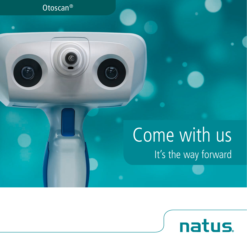#### Otoscan®

# Come with us It's the way forward

natus.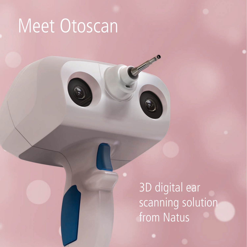# Meet Otoscan

3D digital ear scanning solution from Natus

Separate de la Califaction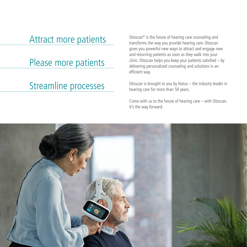### Attract more patients

Please more patients

#### Streamline processes

Otoscan® is the future of hearing care counseling and transforms the way you provide hearing care. Otoscan gives you powerful new ways to attract and engage new and returning patients as soon as they walk into your clinic. Otoscan helps you keep your patients satisfied – by delivering personalized counseling and solutions in an efficient way.

Otoscan is brought to you by Natus – the industry leader in hearing care for more than 50 years.

Come with us to the future of hearing care – with Otoscan. It's the way forward.

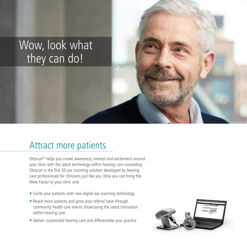## Wow, look what they can do!

### Attract more patients

Otoscan® helps you create awareness, interest and excitement around your clinic with the latest technology within hearing care counseling. Otoscan is the first 3D ear scanning solution developed by hearing care professionals for clinicians just like you. Now you can bring the Wow Factor to your clinic and:

- Excite your patients with new digital ear scanning technology
- Reach more patients and grow your referral base through community health care events showcasing the latest innovation within hearing care
- Deliver customized hearing care and differentiate your practice

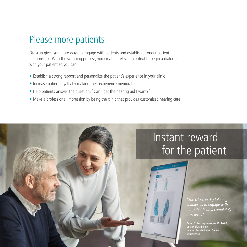### Please more patients

Otoscan gives you more ways to engage with patients and establish stronger patient relationships. With the scanning process, you create a relevant context to begin a dialogue with your patient so you can:

- Establish a strong rapport and personalize the patient's experience in your clinic
- Increase patient loyalty by making their experience memorable
- Help patients answer the question: "Can I get the hearing aid I want?"
- Make a professional impression by being the clinic that provides customized hearing care

## Instant reward for the patient

*"The Otoscan digital image enables us to engage with our patients on a completely new level."* 

**Peter D. Sotiropoulos, Au.D., FAAA,**  Doctor of Audiology Hearing Rehabilitation Center, Kankakee, IL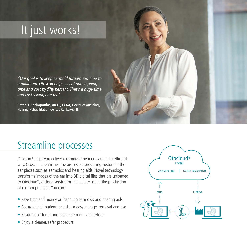## It just works!

*"Our goal is to keep earmold turnaround time to a minimum. Otoscan helps us cut our shipping time and cost by fifty percent. That's a huge time and cost savings for us."* 

**Peter D. Sotiropoulos, Au.D., FAAA,** Doctor of Audiology Hearing Rehabilitation Center, Kankakee, IL

### Streamline processes

Otoscan® helps you deliver customized hearing care in an efficient way. Otoscan streamlines the process of producing custom in-theear pieces such as earmolds and hearing aids. Novel technology transforms images of the ear into 3D digital files that are uploaded to Otocloud®, a cloud service for immediate use in the production of custom products. You can:

- Save time and money on handling earmolds and hearing aids
- Secure digital patient records for easy storage, retrieval and use
- Ensure a better fit and reduce remakes and returns
- Enjoy a cleaner, safer procedure

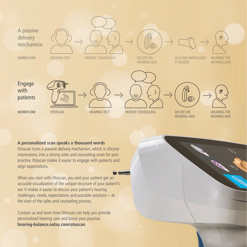

#### **A personalized scan speaks a thousand words**

Otoscan turns a passive delivery mechanism, which is silicone impressions, into a strong sales and counseling asset for your practice. Otoscan makes it easier to engage with patients and align expectations.

When you start with Otoscan, you and your patient get an accurate visualization of the unique structure of your patient's ear. It makes it easier to discuss your patient's hearing challenges, needs, expectations and possible solutions – at the start of the sales and counseling process.

Contact us and learn how Otoscan can help you provide personalized hearing care and boost your practice. **hearing-balance.natus.com/otoscan**